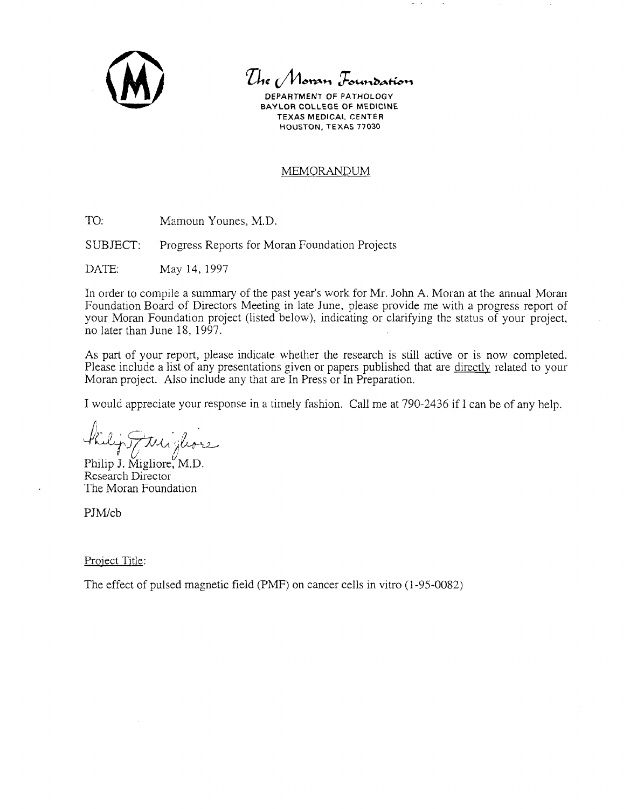

*The Moran Foundation* 

**DEPARTMENT** OF PATHOLOGY BAYLOR COLLEGE OF MEDICINE TEXAS MEDICAL CENTER HOUSTON, TEXAS 77030

## MEMORANDUM

TO: Mamoun Younes, M.D.

SUBJECT: Progress Reports for Moran Foundation Projects

DATE: May 14, 1997

In order to compile a summary of the past year's work for Mr. John A. Moran at the annual Moran Foundation Board of Directors Meeting in late June, please provide me with a progress report of your Moran Foundation project (listed below), indicating or clarifying the status of your project, no later than June 18, 1997.

As part of your report, please indicate whether the research is still active or is now completed. Please include a list of any presentations given or papers published that are directly related to your Moran project. Also include any that are In Press or In Preparation.

I would appreciate your response in a timely fashion. Call me at 790-2436 if I can be of any help.

J2ff(»~"r,b Philip J. Migliore~M.D. Research Director

The Moran Foundation

PJM/cb

Proiect Title:

The effect of pulsed magnetic field (PMF) on cancer cells in vitro (1-95-0082)